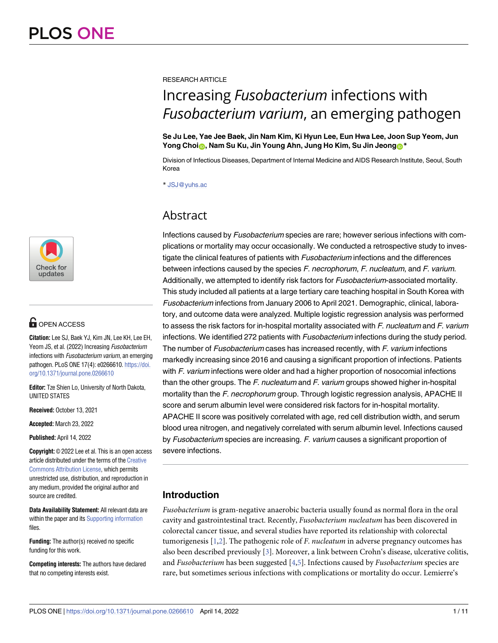

# $\blacksquare$  OPEN ACCESS

**Citation:** Lee SJ, Baek YJ, Kim JN, Lee KH, Lee EH, Yeom JS, et al. (2022) Increasing Fusobacterium infections with *Fusobacterium varium*, an emerging pathogen. PLoS ONE 17(4): e0266610. [https://doi.](https://doi.org/10.1371/journal.pone.0266610) [org/10.1371/journal.pone.0266610](https://doi.org/10.1371/journal.pone.0266610)

**Editor:** Tze Shien Lo, University of North Dakota, UNITED STATES

**Received:** October 13, 2021

**Accepted:** March 23, 2022

**Published:** April 14, 2022

**Copyright:** © 2022 Lee et al. This is an open access article distributed under the terms of the [Creative](http://creativecommons.org/licenses/by/4.0/) [Commons](http://creativecommons.org/licenses/by/4.0/) Attribution License, which permits unrestricted use, distribution, and reproduction in any medium, provided the original author and source are credited.

**Data Availability Statement:** All relevant data are within the paper and its Supporting [information](#page-8-0) files.

**Funding:** The author(s) received no specific funding for this work.

**Competing interests:** The authors have declared that no competing interests exist.

<span id="page-0-0"></span>RESEARCH ARTICLE

# Increasing *Fusobacterium* infections with *Fusobacterium varium*, an emerging pathogen

#### **Se Ju Lee, Yae Jee Baek, Jin Nam Kim, Ki Hyun Lee, Eun Hwa Lee, Joon Sup Yeom, Jun Yong Choin, Nam Su Ku, Jin Young Ahn, Jung Ho Kim, Su Jin Jeong<sup>®</sup>**

Division of Infectious Diseases, Department of Internal Medicine and AIDS Research Institute, Seoul, South Korea

\* JSJ@yuhs.ac

# Abstract

Infections caused by Fusobacterium species are rare; however serious infections with complications or mortality may occur occasionally. We conducted a retrospective study to investigate the clinical features of patients with Fusobacterium infections and the differences between infections caused by the species F. necrophorum, F. nucleatum, and F. varium. Additionally, we attempted to identify risk factors for Fusobacterium-associated mortality. This study included all patients at a large tertiary care teaching hospital in South Korea with Fusobacterium infections from January 2006 to April 2021. Demographic, clinical, laboratory, and outcome data were analyzed. Multiple logistic regression analysis was performed to assess the risk factors for in-hospital mortality associated with  $F$ . nucleatum and  $F$ . varium infections. We identified 272 patients with *Fusobacterium* infections during the study period. The number of Fusobacterium cases has increased recently, with F. varium infections markedly increasing since 2016 and causing a significant proportion of infections. Patients with F. varium infections were older and had a higher proportion of nosocomial infections than the other groups. The F. nucleatum and F. varium groups showed higher in-hospital mortality than the F. necrophorum group. Through logistic regression analysis, APACHE II score and serum albumin level were considered risk factors for in-hospital mortality. APACHE II score was positively correlated with age, red cell distribution width, and serum blood urea nitrogen, and negatively correlated with serum albumin level. Infections caused by Fusobacterium species are increasing. F. varium causes a significant proportion of severe infections.

# **Introduction**

*Fusobacterium* is gram-negative anaerobic bacteria usually found as normal flora in the oral cavity and gastrointestinal tract. Recently, *Fusobacterium nucleatum* has been discovered in colorectal cancer tissue, and several studies have reported its relationship with colorectal tumorigenesis [\[1,](#page-8-0)[2\]](#page-9-0). The pathogenic role of *F*. *nucleatum* in adverse pregnancy outcomes has also been described previously [\[3](#page-9-0)]. Moreover, a link between Crohn's disease, ulcerative colitis, and *Fusobacterium* has been suggested [[4](#page-9-0),[5](#page-9-0)]. Infections caused by *Fusobacterium* species are rare, but sometimes serious infections with complications or mortality do occur. Lemierre's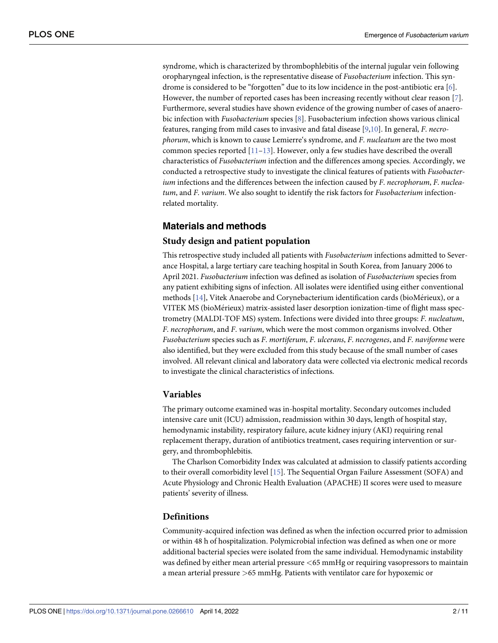<span id="page-1-0"></span>syndrome, which is characterized by thrombophlebitis of the internal jugular vein following oropharyngeal infection, is the representative disease of *Fusobacterium* infection. This syndrome is considered to be "forgotten" due to its low incidence in the post-antibiotic era [[6](#page-9-0)]. However, the number of reported cases has been increasing recently without clear reason [\[7\]](#page-9-0). Furthermore, several studies have shown evidence of the growing number of cases of anaerobic infection with *Fusobacterium* species [\[8\]](#page-9-0). Fusobacterium infection shows various clinical features, ranging from mild cases to invasive and fatal disease [[9](#page-9-0),[10](#page-9-0)]. In general, *F*. *necrophorum*, which is known to cause Lemierre's syndrome, and *F*. *nucleatum* are the two most common species reported  $[11-13]$ . However, only a few studies have described the overall characteristics of *Fusobacterium* infection and the differences among species. Accordingly, we conducted a retrospective study to investigate the clinical features of patients with *Fusobacterium* infections and the differences between the infection caused by *F*. *necrophorum*, *F*. *nucleatum*, and *F*. *varium*. We also sought to identify the risk factors for *Fusobacterium* infectionrelated mortality.

# **Materials and methods**

#### **Study design and patient population**

This retrospective study included all patients with *Fusobacterium* infections admitted to Severance Hospital, a large tertiary care teaching hospital in South Korea, from January 2006 to April 2021. *Fusobacterium* infection was defined as isolation of *Fusobacterium* species from any patient exhibiting signs of infection. All isolates were identified using either conventional methods  $[14]$ , Vitek Anaerobe and Corynebacterium identification cards (bioMérieux), or a VITEK MS (bioMérieux) matrix-assisted laser desorption ionization-time of flight mass spectrometry (MALDI-TOF MS) system. Infections were divided into three groups: *F*. *nucleatum*, *F*. *necrophorum*, and *F*. *varium*, which were the most common organisms involved. Other *Fusobacterium* species such as *F*. *mortiferum*, *F*. *ulcerans*, *F*. *necrogenes*, and *F*. *naviforme* were also identified, but they were excluded from this study because of the small number of cases involved. All relevant clinical and laboratory data were collected via electronic medical records to investigate the clinical characteristics of infections.

#### **Variables**

The primary outcome examined was in-hospital mortality. Secondary outcomes included intensive care unit (ICU) admission, readmission within 30 days, length of hospital stay, hemodynamic instability, respiratory failure, acute kidney injury (AKI) requiring renal replacement therapy, duration of antibiotics treatment, cases requiring intervention or surgery, and thrombophlebitis.

The Charlson Comorbidity Index was calculated at admission to classify patients according to their overall comorbidity level [[15](#page-9-0)]. The Sequential Organ Failure Assessment (SOFA) and Acute Physiology and Chronic Health Evaluation (APACHE) II scores were used to measure patients' severity of illness.

#### **Definitions**

Community-acquired infection was defined as when the infection occurred prior to admission or within 48 h of hospitalization. Polymicrobial infection was defined as when one or more additional bacterial species were isolated from the same individual. Hemodynamic instability was defined by either mean arterial pressure *<*65 mmHg or requiring vasopressors to maintain a mean arterial pressure *>*65 mmHg. Patients with ventilator care for hypoxemic or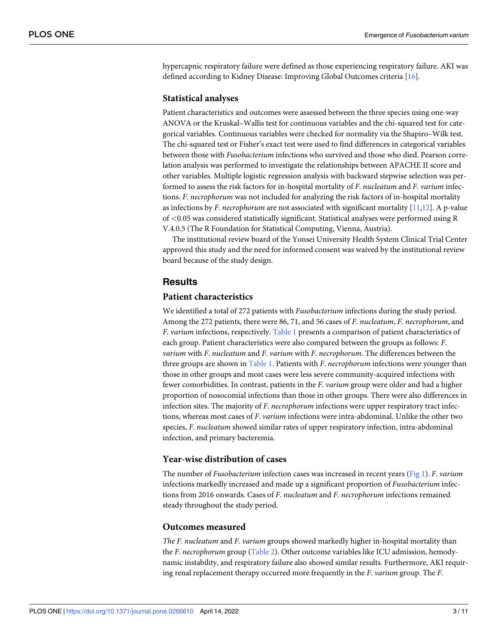<span id="page-2-0"></span>hypercapnic respiratory failure were defined as those experiencing respiratory failure. AKI was defined according to Kidney Disease: Improving Global Outcomes criteria [\[16\]](#page-9-0).

#### **Statistical analyses**

Patient characteristics and outcomes were assessed between the three species using one-way ANOVA or the Kruskal–Wallis test for continuous variables and the chi-squared test for categorical variables. Continuous variables were checked for normality via the Shapiro–Wilk test. The chi-squared test or Fisher's exact test were used to find differences in categorical variables between those with *Fusobacterium* infections who survived and those who died. Pearson correlation analysis was performed to investigate the relationships between APACHE II score and other variables. Multiple logistic regression analysis with backward stepwise selection was performed to assess the risk factors for in-hospital mortality of *F*. *nucleatum* and *F*. *varium* infections. *F*. *necrophorum* was not included for analyzing the risk factors of in-hospital mortality as infections by *F*. *necrophorum* are not associated with significant mortality [\[11,12](#page-9-0)]. A p-value of *<*0.05 was considered statistically significant. Statistical analyses were performed using R V.4.0.5 (The R Foundation for Statistical Computing, Vienna, Austria).

The institutional review board of the Yonsei University Health System Clinical Trial Center approved this study and the need for informed consent was waived by the institutional review board because of the study design.

## **Results**

#### **Patient characteristics**

We identified a total of 272 patients with *Fusobacterium* infections during the study period. Among the 272 patients, there were 86, 71, and 56 cases of *F*. *nucleatum*, *F*. *necrophorum*, and *F*. *varium* infections, respectively. [Table](#page-3-0) 1 presents a comparison of patient characteristics of each group. Patient characteristics were also compared between the groups as follows: *F*. *varium* with *F*. *nucleatum* and *F*. *varium* with *F*. *necrophorum*. The differences between the three groups are shown in [Table](#page-3-0) 1. Patients with *F*. *necrophorum* infections were younger than those in other groups and most cases were less severe community-acquired infections with fewer comorbidities. In contrast, patients in the *F*. *varium* group were older and had a higher proportion of nosocomial infections than those in other groups. There were also differences in infection sites. The majority of *F*. *necrophorum* infections were upper respiratory tract infections, whereas most cases of *F*. *varium* infections were intra-abdominal. Unlike the other two species, *F*. *nucleatum* showed similar rates of upper respiratory infection, intra-abdominal infection, and primary bacteremia.

#### **Year-wise distribution of cases**

The number of *Fusobacterium* infection cases was increased in recent years [\(Fig](#page-4-0) 1). *F*. *varium* infections markedly increased and made up a significant proportion of *Fusobacterium* infections from 2016 onwards. Cases of *F*. *nucleatum* and *F*. *necrophorum* infections remained steady throughout the study period.

#### **Outcomes measured**

*The F*. *nucleatum* and *F*. *varium* groups showed markedly higher in-hospital mortality than the *F*. *necrophorum* group ([Table](#page-5-0) 2). Other outcome variables like ICU admission, hemodynamic instability, and respiratory failure also showed similar results. Furthermore, AKI requiring renal replacement therapy occurred more frequently in the *F*. *varium* group. The *F*.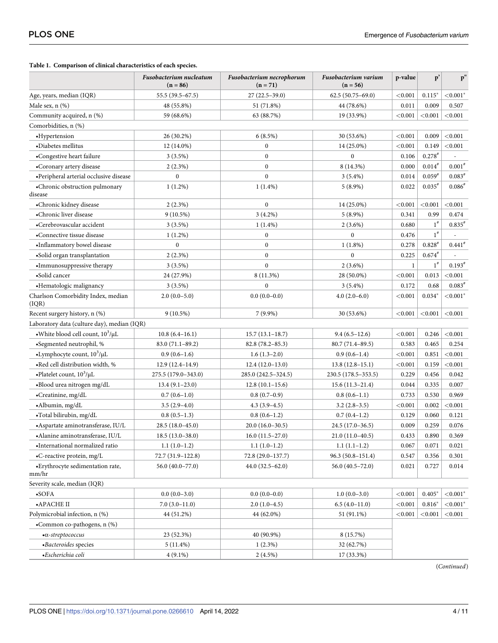### <span id="page-3-0"></span>**[Table](#page-2-0) 1. Comparison of clinical characteristics of each species.**

|                                             | Fusobacterium nucleatum<br>$(n = 86)$  | Fusobacterium necrophorum<br>$(n = 71)$ | Fusobacterium varium<br>$(n = 56)$ | p-value      | p'          | $\mathbf{p}$ " |
|---------------------------------------------|----------------------------------------|-----------------------------------------|------------------------------------|--------------|-------------|----------------|
| Age, years, median (IQR)                    | 55.5 (39.5-67.5)                       | $27(22.5 - 39.0)$                       | $62.5(50.75-69.0)$                 | < 0.001      | $0.115*$    | ${<}0.001^*$   |
| Male sex, n (%)                             | 48 (55.8%)                             | 51 (71.8%)                              | 44 (78.6%)                         | 0.011        | 0.009       | 0.507          |
| Community acquired, n (%)                   | 59 (68.6%)<br>63 (88.7%)<br>19 (33.9%) |                                         | < 0.001                            | < 0.001      | < 0.001     |                |
| Comorbidities, n (%)                        |                                        |                                         |                                    |              |             |                |
| •Hypertension                               | 26 (30.2%)                             | 6(8.5%)                                 | 30 (53.6%)                         | < 0.001      | 0.009       | < 0.001        |
| •Diabetes mellitus                          | 12 (14.0%)                             | $\boldsymbol{0}$                        | 14 (25.0%)                         | < 0.001      | 0.149       | < 0.001        |
| •Congestive heart failure                   | $3(3.5\%)$                             | $\boldsymbol{0}$                        | $\overline{0}$                     | 0.106        | $0.278^{*}$ |                |
| •Coronary artery disease                    | $2(2.3\%)$                             | $\boldsymbol{0}$                        | 8 (14.3%)                          | 0.000        | $0.014^{*}$ | $0.001^{#}$    |
| •Peripheral arterial occlusive disease      | $\boldsymbol{0}$                       | $\mathbf{0}$                            | $3(5.4\%)$                         | 0.014        | $0.059^{*}$ | $0.083*$       |
| •Chronic obstruction pulmonary<br>disease   | $1(1.2\%)$                             | $1(1.4\%)$                              | $5(8.9\%)$                         | 0.022        | $0.035^{*}$ | $0.086^{*}$    |
| •Chronic kidney disease                     | $2(2.3\%)$                             | $\boldsymbol{0}$                        | 14 (25.0%)                         | < 0.001      | < 0.001     | < 0.001        |
| •Chronic liver disease                      | $9(10.5\%)$                            | $3(4.2\%)$                              | $5(8.9\%)$                         | 0.341        | 0.99        | 0.474          |
| •Cerebrovascular accident                   | 3(3.5%)                                | $1(1.4\%)$                              | $2(3.6\%)$                         | 0.680        | $1^{\#}$    | $0.835^{*}$    |
| •Connective tissue disease                  | $1(1.2\%)$                             | $\boldsymbol{0}$                        | $\overline{0}$                     | 0.476        | $1^{\#}$    |                |
| •Inflammatory bowel disease                 | $\boldsymbol{0}$                       | $\boldsymbol{0}$                        | $1(1.8\%)$                         | 0.278        | $0.828*$    | $0.441^{*}$    |
| •Solid organ transplantation                | $2(2.3\%)$                             | $\boldsymbol{0}$                        | $\boldsymbol{0}$                   | 0.225        | $0.674^{*}$ |                |
| •Immunosuppressive therapy                  | $3(3.5\%)$                             | $\overline{0}$                          | $2(3.6\%)$                         | $\mathbf{1}$ | $1^{\#}$    | $0.193*$       |
| •Solid cancer                               | 24 (27.9%)                             | 8 (11.3%)                               | 28 (50.0%)                         | < 0.001      | 0.013       | < 0.001        |
| •Hematologic malignancy                     | 3(3.5%)                                | $\boldsymbol{0}$                        | $3(5.4\%)$                         | 0.172        | 0.68        | $0.083*$       |
| Charlson Comorbidity Index, median<br>(IQR) | $2.0(0.0-5.0)$                         | $0.0(0.0-0.0)$                          | $4.0(2.0-6.0)$                     | < 0.001      | $0.034*$    | ${<}0.001^*$   |
| Recent surgery history, n (%)               | $9(10.5\%)$                            | $7(9.9\%)$                              | 30 (53.6%)                         | < 0.001      | < 0.001     | < 0.001        |
| Laboratory data (culture day), median (IQR) |                                        |                                         |                                    |              |             |                |
| • White blood cell count, $10^3/\mu L$      | $10.8(6.4-16.1)$                       | $15.7(13.1 - 18.7)$                     | $9.4(6.5-12.6)$                    | < 0.001      | 0.246       | < 0.001        |
| •Segmented neutrophil, %                    | $83.0(71.1-89.2)$                      | $82.8(78.2 - 85.3)$                     | $80.7(71.4-89.5)$                  | 0.583        | 0.465       | 0.254          |
| •Lymphocyte count, $10^3/\mu L$             | $0.9(0.6-1.6)$                         | $1.6(1.3-2.0)$                          | $0.9(0.6-1.4)$                     | < 0.001      | 0.851       | < 0.001        |
| .Red cell distribution width, %             | $12.9(12.4-14.9)$                      | $12.4(12.0-13.0)$                       | $13.8(12.8-15.1)$                  | < 0.001      | 0.159       | < 0.001        |
| •Platelet count, $10^3/\mu L$               | 275.5 (179.0–343.0)                    | 285.0 (242.5-324.5)                     | 230.5 (178.5–353.5)                | 0.229        | 0.456       | 0.042          |
| ·Blood urea nitrogen mg/dL                  | $13.4(9.1-23.0)$                       | $12.8(10.1-15.6)$                       | $15.6(11.3-21.4)$                  | 0.044        | 0.335       | 0.007          |
| •Creatinine, mg/dL                          | $0.7(0.6-1.0)$                         | $0.8(0.7-0.9)$                          | $0.8(0.6-1.1)$                     | 0.733        | 0.530       | 0.969          |
| •Albumin, mg/dL                             | $3.5(2.9-4.0)$                         | $4.3(3.9-4.5)$                          | $3.2(2.8-3.5)$                     | < 0.001      | 0.002       | < 0.001        |
| •Total bilirubin, mg/dL                     | $0.8(0.5-1.3)$                         | $0.8(0.6-1.2)$                          | $0.7(0.4-1.2)$                     | 0.129        | 0.060       | 0.121          |
| «Aspartate aminotransferase, IU/L           | $28.5(18.0-45.0)$                      | $20.0(16.0-30.5)$                       | $24.5(17.0-36.5)$                  | 0.009        | 0.259       | 0.076          |
| $\bullet$ Alanine aminotransferase, IU/L    | $18.5(13.0-38.0)$                      | $16.0(11.5-27.0)$                       | $21.0(11.0-40.5)$                  | 0.433        | 0.890       | 0.369          |
| •International normalized ratio             | $1.1(1.0-1.2)$                         | $1.1(1.0-1.2)$                          | $1.1(1.1-1.2)$                     | 0.067        | 0.071       | 0.021          |
| •C-reactive protein, mg/L                   | 72.7 (31.9-122.8)                      | 72.8 (29.0-137.7)                       | $96.3(50.8-151.4)$                 | 0.547        | 0.356       | 0.301          |
| • Erythrocyte sedimentation rate,<br>mm/hr  | $56.0(40.0-77.0)$                      | $44.0(32.5-62.0)$                       | 56.0 (40.5–72.0)                   | 0.021        | 0.727       | 0.014          |
| Severity scale, median (IQR)                |                                        |                                         |                                    |              |             |                |
| $\bullet$ SOFA                              | $0.0(0.0-3.0)$                         | $0.0(0.0-0.0)$                          | $1.0(0.0-3.0)$                     | < 0.001      | $0.405*$    | ${<}0.001*$    |
| •APACHE II                                  | $7.0(3.0-11.0)$                        | $2.0(1.0-4.5)$                          | $6.5(4.0-11.0)$                    | < 0.001      | $0.816*$    | $< 0.001*$     |
| Polymicrobial infection, n (%)              | 44 (51.2%)                             | 44 (62.0%)                              | 51 (91.1%)                         | < 0.001      | < 0.001     | < 0.001        |
| •Common co-pathogens, n (%)                 |                                        |                                         |                                    |              |             |                |
| $\cdot \alpha$ -streptococcus               | 23 (52.3%)                             | 40 (90.9%)                              | 8 (15.7%)                          |              |             |                |
| •Bacteroides species                        | 5(11.4%)                               | 1(2.3%)                                 | 32 (62.7%)                         |              |             |                |
| •Escherichia coli                           | $4(9.1\%)$                             | $2(4.5\%)$                              | 17 (33.3%)                         |              |             |                |

(*Continued*)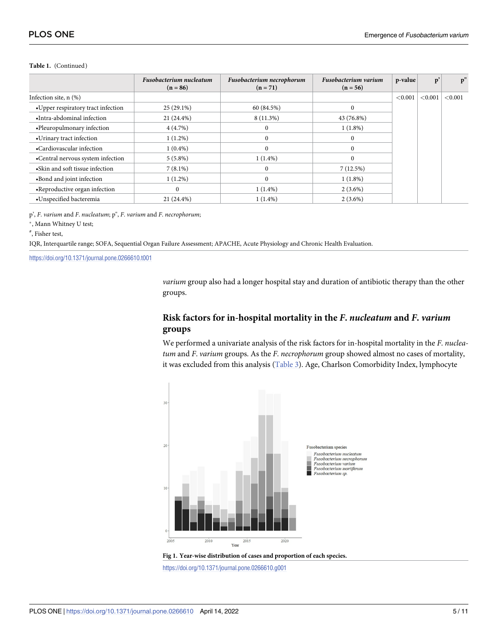<span id="page-4-0"></span>

|  | Table 1. (Continued) |
|--|----------------------|
|--|----------------------|

|                                     | Fusobacterium nucleatum<br>$(n = 86)$ | Fusobacterium necrophorum<br>$(n = 71)$ | Fusobacterium varium<br>$(n = 56)$ | p-value | p'         | p''     |
|-------------------------------------|---------------------------------------|-----------------------------------------|------------------------------------|---------|------------|---------|
| Infection site, $n$ $(\%)$          |                                       |                                         |                                    | < 0.001 | ${<}0.001$ | < 0.001 |
| • Upper respiratory tract infection | $25(29.1\%)$                          | 60 (84.5%)                              |                                    |         |            |         |
| •Intra-abdominal infection          | 21 (24.4%)                            | $8(11.3\%)$                             | 43 (76.8%)                         |         |            |         |
| •Pleuropulmonary infection          | 4(4.7%)                               | 0                                       | $1(1.8\%)$                         |         |            |         |
| •Urinary tract infection            | $1(1.2\%)$                            | $\mathbf{0}$                            |                                    |         |            |         |
| •Cardiovascular infection           | $1(0.4\%)$                            | $\boldsymbol{0}$                        |                                    |         |            |         |
| •Central nervous system infection   | $5(5.8\%)$                            | $1(1.4\%)$                              |                                    |         |            |         |
| •Skin and soft tissue infection     | $7(8.1\%)$                            | $\mathbf{0}$                            | 7(12.5%)                           |         |            |         |
| •Bond and joint infection           | $1(1.2\%)$                            | $\Omega$                                | $1(1.8\%)$                         |         |            |         |
| •Reproductive organ infection       |                                       | $1(1.4\%)$                              | $2(3.6\%)$                         |         |            |         |
| •Unspecified bacteremia             | 21 (24.4%)                            | $1(1.4\%)$                              | $2(3.6\%)$                         |         |            |         |

p', *F*. *varium* and *F*. *nucleatum*; p", *F*. *varium* and *F*. *necrophorum*;

�, Mann Whitney U test;

# , Fisher test,

IQR, Interquartile range; SOFA, Sequential Organ Failure Assessment; APACHE, Acute Physiology and Chronic Health Evaluation.

<https://doi.org/10.1371/journal.pone.0266610.t001>

*varium* group also had a longer hospital stay and duration of antibiotic therapy than the other groups.

# **Risk factors for in-hospital mortality in the** *F***.** *nucleatum* **and** *F***.** *varium* **groups**

We performed a univariate analysis of the risk factors for in-hospital mortality in the *F*. *nucleatum* and *F*. *varium* groups. As the *F*. *necrophorum* group showed almost no cases of mortality, it was excluded from this analysis [\(Table](#page-6-0) 3). Age, Charlson Comorbidity Index, lymphocyte



**[Fig](#page-2-0) 1. Year-wise distribution of cases and proportion of each species.**

<https://doi.org/10.1371/journal.pone.0266610.g001>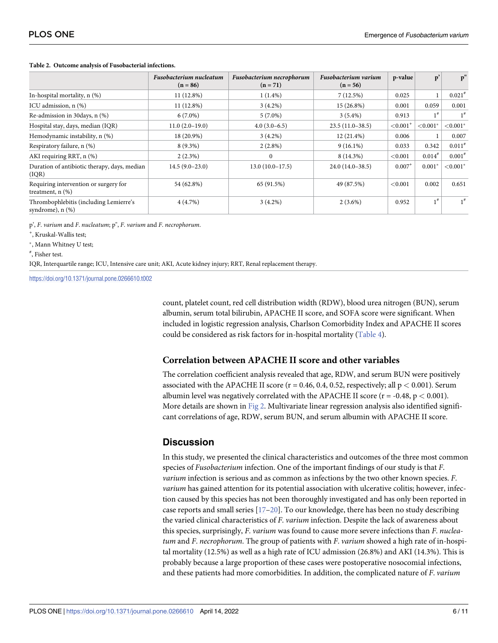|                                                                 | Fusobacterium nucleatum<br>$(n = 86)$ | Fusobacterium necrophorum<br>$(n = 71)$ | Fusobacterium varium<br>$(n = 56)$ | p-value     | p'          | p''         |
|-----------------------------------------------------------------|---------------------------------------|-----------------------------------------|------------------------------------|-------------|-------------|-------------|
| In-hospital mortality, $n$ $(\%)$                               | $11(12.8\%)$                          | $1(1.4\%)$                              | 7(12.5%)                           | 0.025       |             | $0.021^{*}$ |
| ICU admission, n (%)                                            | $11(12.8\%)$                          | $3(4.2\%)$                              | 15 (26.8%)                         | 0.001       | 0.059       | 0.001       |
| Re-admission in 30 days, n (%)                                  | $6(7.0\%)$                            | $5(7.0\%)$                              | $3(5.4\%)$                         | 0.913       |             | $1^{\#}$    |
| Hospital stay, days, median (IQR)                               | $11.0(2.0-19.0)$                      | $4.0(3.0-6.5)$                          | $23.5(11.0-38.5)$                  | $< 0.001 +$ | ${<}0.001*$ | $< 0.001*$  |
| Hemodynamic instability, n (%)                                  | 18 (20.9%)                            | $3(4.2\%)$                              | $12(21.4\%)$                       | 0.006       |             | 0.007       |
| Respiratory failure, n (%)                                      | $8(9.3\%)$                            | $2(2.8\%)$                              | $9(16.1\%)$                        | 0.033       | 0.342       | $0.011^{#}$ |
| AKI requiring RRT, n (%)                                        | $2(2.3\%)$                            | $\Omega$                                | 8 (14.3%)                          | < 0.001     | $0.014^{#}$ | $0.001^{#}$ |
| Duration of antibiotic therapy, days, median<br>(IQR)           | $14.5(9.0-23.0)$                      | $13.0(10.0-17.5)$                       | $24.0(14.0-38.5)$                  | $0.007^{+}$ | $0.001*$    | $< 0.001*$  |
| Requiring intervention or surgery for<br>treatment, $n$ $(\%)$  | 54 (62.8%)                            | 65 (91.5%)                              | 49 (87.5%)                         | < 0.001     | 0.002       | 0.651       |
| Thrombophlebitis (including Lemierre's<br>syndrome), $n$ $(\%)$ | 4(4.7%)                               | $3(4.2\%)$                              | $2(3.6\%)$                         | 0.952       | $1^{\#}$    | $1^{\#}$    |

#### <span id="page-5-0"></span>**[Table](#page-2-0) 2. Outcome analysis of Fusobacterial infections.**

p', *F*. *varium* and *F*. *nucleatum*; p", *F*. *varium* and *F*. *necrophorum*.

+ , Kruskal-Wallis test;

�, Mann Whitney U test;

# , Fisher test.

IQR, Interquartile range; ICU, Intensive care unit; AKI, Acute kidney injury; RRT, Renal replacement therapy.

<https://doi.org/10.1371/journal.pone.0266610.t002>

count, platelet count, red cell distribution width (RDW), blood urea nitrogen (BUN), serum albumin, serum total bilirubin, APACHE II score, and SOFA score were significant. When included in logistic regression analysis, Charlson Comorbidity Index and APACHE II scores could be considered as risk factors for in-hospital mortality [\(Table](#page-6-0) 4).

#### **Correlation between APACHE II score and other variables**

The correlation coefficient analysis revealed that age, RDW, and serum BUN were positively associated with the APACHE II score ( $r = 0.46, 0.4, 0.52$ , respectively; all  $p < 0.001$ ). Serum albumin level was negatively correlated with the APACHE II score (r = -0.48, p *<* 0.001). More details are shown in [Fig](#page-7-0) 2. Multivariate linear regression analysis also identified significant correlations of age, RDW, serum BUN, and serum albumin with APACHE II score.

# **Discussion**

In this study, we presented the clinical characteristics and outcomes of the three most common species of *Fusobacterium* infection. One of the important findings of our study is that *F*. *varium* infection is serious and as common as infections by the two other known species. *F*. *varium* has gained attention for its potential association with ulcerative colitis; however, infection caused by this species has not been thoroughly investigated and has only been reported in case reports and small series  $[17–20]$  $[17–20]$ . To our knowledge, there has been no study describing the varied clinical characteristics of *F*. *varium* infection. Despite the lack of awareness about this species, surprisingly, *F*. *varium* was found to cause more severe infections than *F*. *nucleatum* and *F*. *necrophorum*. The group of patients with *F*. *varium* showed a high rate of in-hospital mortality (12.5%) as well as a high rate of ICU admission (26.8%) and AKI (14.3%). This is probably because a large proportion of these cases were postoperative nosocomial infections, and these patients had more comorbidities. In addition, the complicated nature of *F*. *varium*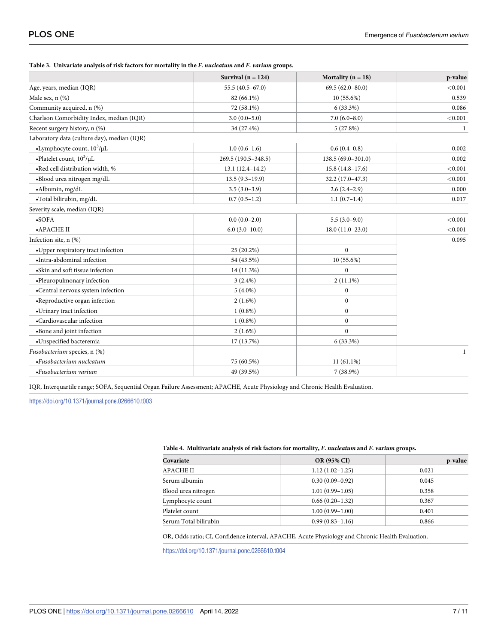|                                             | Survival $(n = 124)$ | Mortality ( $n = 18$ ) | p-value      |
|---------------------------------------------|----------------------|------------------------|--------------|
| Age, years, median (IQR)                    | 55.5 (40.5-67.0)     | $69.5(62.0 - 80.0)$    | < 0.001      |
| Male sex, $n$ $(\%)$                        | 82 (66.1%)           | $10(55.6\%)$           | 0.539        |
| Community acquired, n (%)                   | 72 (58.1%)           | $6(33.3\%)$            | 0.086        |
| Charlson Comorbidity Index, median (IQR)    | $3.0(0.0-5.0)$       | $7.0(6.0-8.0)$         | < 0.001      |
| Recent surgery history, n (%)               | 34 (27.4%)           | 5(27.8%)               | -1           |
| Laboratory data (culture day), median (IQR) |                      |                        |              |
| •Lymphocyte count, $10^3/\mu L$             | $1.0(0.6-1.6)$       | $0.6(0.4 - 0.8)$       | 0.002        |
| •Platelet count, $10^3/\mu L$               | 269.5 (190.5-348.5)  | 138.5 (69.0-301.0)     | 0.002        |
| .Red cell distribution width, %             | $13.1(12.4-14.2)$    | $15.8(14.8-17.6)$      | < 0.001      |
| «Blood urea nitrogen mg/dL                  | $13.5(9.3-19.9)$     | $32.2(17.0-47.3)$      | < 0.001      |
| •Albumin, mg/dL                             | $3.5(3.0-3.9)$       | $2.6(2.4-2.9)$         | 0.000        |
| •Total bilirubin, mg/dL                     | $0.7(0.5-1.2)$       | $1.1(0.7-1.4)$         | 0.017        |
| Severity scale, median (IQR)                |                      |                        |              |
| $\bullet$ SOFA                              | $0.0(0.0-2.0)$       | $5.5(3.0-9.0)$         | < 0.001      |
| •APACHE II                                  | $6.0(3.0-10.0)$      | $18.0(11.0-23.0)$      | < 0.001      |
| Infection site, $n$ $(\%)$                  |                      |                        | 0.095        |
| •Upper respiratory tract infection          | 25 (20.2%)           | $\Omega$               |              |
| •Intra-abdominal infection                  | 54 (43.5%)           | 10 (55.6%)             |              |
| •Skin and soft tissue infection             | 14 (11.3%)           | $\mathbf{0}$           |              |
| •Pleuropulmonary infection                  | $3(2.4\%)$           | $2(11.1\%)$            |              |
| •Central nervous system infection           | $5(4.0\%)$           | $\boldsymbol{0}$       |              |
| •Reproductive organ infection               | $2(1.6\%)$           | $\mathbf{0}$           |              |
| •Urinary tract infection                    | $1(0.8\%)$           | $\overline{0}$         |              |
| •Cardiovascular infection                   | $1(0.8\%)$           | $\boldsymbol{0}$       |              |
| •Bone and joint infection                   | $2(1.6\%)$           | $\Omega$               |              |
| ·Unspecified bacteremia                     | 17 (13.7%)           | $6(33.3\%)$            |              |
| Fusobacterium species, n (%)                |                      |                        | $\mathbf{1}$ |
| $\cdot$ Fusobacterium nucleatum             | 75 (60.5%)           | $11(61.1\%)$           |              |
| •Fusobacterium varium                       | 49 (39.5%)           | $7(38.9\%)$            |              |

#### <span id="page-6-0"></span>[Table](#page-4-0) 3. Univariate analysis of risk factors for mortality in the F. nucleatum and F. varium groups.

IQR, Interquartile range; SOFA, Sequential Organ Failure Assessment; APACHE, Acute Physiology and Chronic Health Evaluation.

<https://doi.org/10.1371/journal.pone.0266610.t003>

#### **[Table](#page-5-0) 4. Multivariate analysis of risk factors for mortality,** *F***.** *nucleatum* **and** *F***.** *varium* **groups.**

| Covariate             | <b>OR (95% CI)</b>  | p-value |
|-----------------------|---------------------|---------|
| <b>APACHE II</b>      | $1.12(1.02 - 1.25)$ | 0.021   |
| Serum albumin         | $0.30(0.09-0.92)$   | 0.045   |
| Blood urea nitrogen   | $1.01(0.99-1.05)$   | 0.358   |
| Lymphocyte count      | $0.66(0.20-1.32)$   | 0.367   |
| Platelet count        | $1.00(0.99-1.00)$   | 0.401   |
| Serum Total bilirubin | $0.99(0.83 - 1.16)$ | 0.866   |

OR, Odds ratio; CI, Confidence interval, APACHE, Acute Physiology and Chronic Health Evaluation.

<https://doi.org/10.1371/journal.pone.0266610.t004>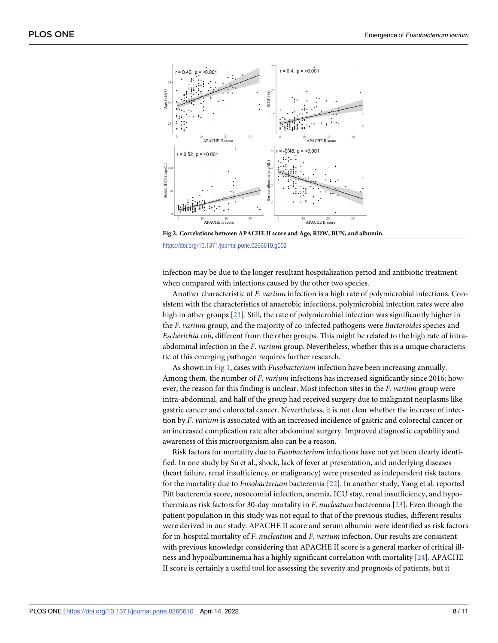<span id="page-7-0"></span>

**[Fig](#page-5-0) 2. Correlations between APACHE II score and Age, RDW, BUN, and albumin.**

infection may be due to the longer resultant hospitalization period and antibiotic treatment when compared with infections caused by the other two species.

Another characteristic of *F*. *varium* infection is a high rate of polymicrobial infections. Consistent with the characteristics of anaerobic infections, polymicrobial infection rates were also high in other groups [\[21\]](#page-9-0). Still, the rate of polymicrobial infection was significantly higher in the *F*. *varium* group, and the majority of co-infected pathogens were *Bacteroides* species and *Escherichia coli*, different from the other groups. This might be related to the high rate of intraabdominal infection in the *F*. *varium* group. Nevertheless, whether this is a unique characteristic of this emerging pathogen requires further research.

As shown in [Fig](#page-4-0) 1, cases with *Fusobacterium* infection have been increasing annually. Among them, the number of *F*. *varium* infections has increased significantly since 2016; however, the reason for this finding is unclear. Most infection sites in the *F*. *varium* group were intra-abdominal, and half of the group had received surgery due to malignant neoplasms like gastric cancer and colorectal cancer. Nevertheless, it is not clear whether the increase of infection by *F*. *varium* is associated with an increased incidence of gastric and colorectal cancer or an increased complication rate after abdominal surgery. Improved diagnostic capability and awareness of this microorganism also can be a reason.

Risk factors for mortality due to *Fusobacterium* infections have not yet been clearly identified. In one study by Su et al., shock, lack of fever at presentation, and underlying diseases (heart failure, renal insufficiency, or malignancy) were presented as independent risk factors for the mortality due to *Fusobacterium* bacteremia [\[22\]](#page-9-0). In another study, Yang et al. reported Pitt bacteremia score, nosocomial infection, anemia, ICU stay, renal insufficiency, and hypothermia as risk factors for 30-day mortality in *F*. *nucleatum* bacteremia [[23](#page-10-0)]. Even though the patient population in this study was not equal to that of the previous studies, different results were derived in our study. APACHE II score and serum albumin were identified as risk factors for in-hospital mortality of *F*. *nucleatum* and *F*. *varium* infection. Our results are consistent with previous knowledge considering that APACHE II score is a general marker of critical illness and hypoalbuminemia has a highly significant correlation with mortality [\[24\]](#page-10-0). APACHE II score is certainly a useful tool for assessing the severity and prognosis of patients, but it

<https://doi.org/10.1371/journal.pone.0266610.g002>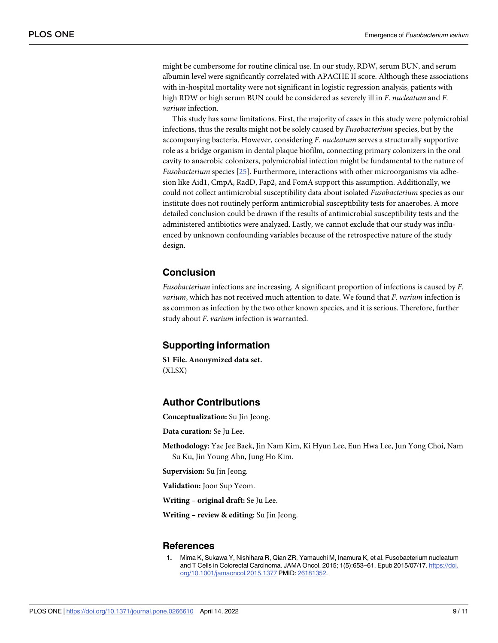<span id="page-8-0"></span>might be cumbersome for routine clinical use. In our study, RDW, serum BUN, and serum albumin level were significantly correlated with APACHE II score. Although these associations with in-hospital mortality were not significant in logistic regression analysis, patients with high RDW or high serum BUN could be considered as severely ill in *F*. *nucleatum* and *F*. *varium* infection.

This study has some limitations. First, the majority of cases in this study were polymicrobial infections, thus the results might not be solely caused by *Fusobacterium* species, but by the accompanying bacteria. However, considering *F*. *nucleatum* serves a structurally supportive role as a bridge organism in dental plaque biofilm, connecting primary colonizers in the oral cavity to anaerobic colonizers, polymicrobial infection might be fundamental to the nature of *Fusobacterium* species [[25](#page-10-0)]. Furthermore, interactions with other microorganisms via adhesion like Aid1, CmpA, RadD, Fap2, and FomA support this assumption. Additionally, we could not collect antimicrobial susceptibility data about isolated *Fusobacterium* species as our institute does not routinely perform antimicrobial susceptibility tests for anaerobes. A more detailed conclusion could be drawn if the results of antimicrobial susceptibility tests and the administered antibiotics were analyzed. Lastly, we cannot exclude that our study was influenced by unknown confounding variables because of the retrospective nature of the study design.

## **Conclusion**

*Fusobacterium* infections are increasing. A significant proportion of infections is caused by *F*. *varium*, which has not received much attention to date. We found that *F*. *varium* infection is as common as infection by the two other known species, and it is serious. Therefore, further study about *F*. *varium* infection is warranted.

#### **Supporting information**

**S1 [File.](http://www.plosone.org/article/fetchSingleRepresentation.action?uri=info:doi/10.1371/journal.pone.0266610.s001) Anonymized data set.** (XLSX)

# **Author Contributions**

**Conceptualization:** Su Jin Jeong.

**Data curation:** Se Ju Lee.

**Methodology:** Yae Jee Baek, Jin Nam Kim, Ki Hyun Lee, Eun Hwa Lee, Jun Yong Choi, Nam Su Ku, Jin Young Ahn, Jung Ho Kim.

**Supervision:** Su Jin Jeong.

**Validation:** Joon Sup Yeom.

**Writing – original draft:** Se Ju Lee.

**Writing – review & editing:** Su Jin Jeong.

#### **References**

**[1](#page-0-0).** Mima K, Sukawa Y, Nishihara R, Qian ZR, Yamauchi M, Inamura K, et al. Fusobacterium nucleatum and T Cells in Colorectal Carcinoma. JAMA Oncol. 2015; 1(5):653–61. Epub 2015/07/17. [https://doi.](https://doi.org/10.1001/jamaoncol.2015.1377) [org/10.1001/jamaoncol.2015.1377](https://doi.org/10.1001/jamaoncol.2015.1377) PMID: [26181352](http://www.ncbi.nlm.nih.gov/pubmed/26181352).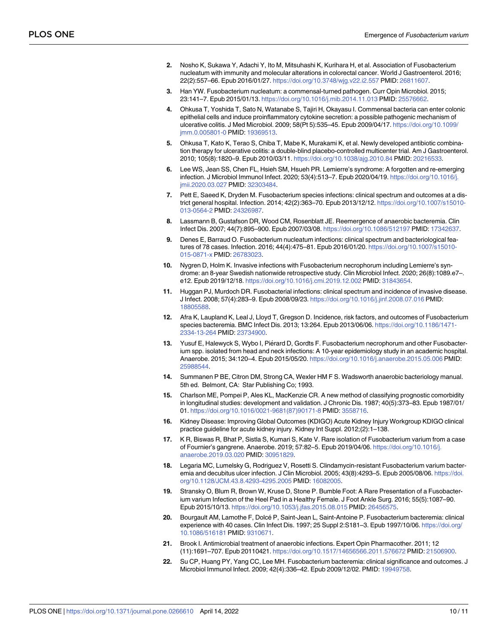- <span id="page-9-0"></span>**[2](#page-0-0).** Nosho K, Sukawa Y, Adachi Y, Ito M, Mitsuhashi K, Kurihara H, et al. Association of Fusobacterium nucleatum with immunity and molecular alterations in colorectal cancer. World J Gastroenterol. 2016; 22(2):557–66. Epub 2016/01/27. <https://doi.org/10.3748/wjg.v22.i2.557> PMID: [26811607.](http://www.ncbi.nlm.nih.gov/pubmed/26811607)
- **[3](#page-0-0).** Han YW. Fusobacterium nucleatum: a commensal-turned pathogen. Curr Opin Microbiol. 2015; 23:141–7. Epub 2015/01/13. <https://doi.org/10.1016/j.mib.2014.11.013> PMID: [25576662](http://www.ncbi.nlm.nih.gov/pubmed/25576662).
- **[4](#page-0-0).** Ohkusa T, Yoshida T, Sato N, Watanabe S, Tajiri H, Okayasu I. Commensal bacteria can enter colonic epithelial cells and induce proinflammatory cytokine secretion: a possible pathogenic mechanism of ulcerative colitis. J Med Microbiol. 2009; 58(Pt 5):535–45. Epub 2009/04/17. [https://doi.org/10.1099/](https://doi.org/10.1099/jmm.0.005801-0) [jmm.0.005801-0](https://doi.org/10.1099/jmm.0.005801-0) PMID: [19369513.](http://www.ncbi.nlm.nih.gov/pubmed/19369513)
- **[5](#page-0-0).** Ohkusa T, Kato K, Terao S, Chiba T, Mabe K, Murakami K, et al. Newly developed antibiotic combination therapy for ulcerative colitis: a double-blind placebo-controlled multicenter trial. Am J Gastroenterol. 2010; 105(8):1820–9. Epub 2010/03/11. <https://doi.org/10.1038/ajg.2010.84> PMID: [20216533](http://www.ncbi.nlm.nih.gov/pubmed/20216533).
- **[6](#page-1-0).** Lee WS, Jean SS, Chen FL, Hsieh SM, Hsueh PR. Lemierre's syndrome: A forgotten and re-emerging infection. J Microbiol Immunol Infect. 2020; 53(4):513–7. Epub 2020/04/19. [https://doi.org/10.1016/j.](https://doi.org/10.1016/j.jmii.2020.03.027) [jmii.2020.03.027](https://doi.org/10.1016/j.jmii.2020.03.027) PMID: [32303484](http://www.ncbi.nlm.nih.gov/pubmed/32303484).
- **[7](#page-1-0).** Pett E, Saeed K, Dryden M. Fusobacterium species infections: clinical spectrum and outcomes at a district general hospital. Infection. 2014; 42(2):363–70. Epub 2013/12/12. [https://doi.org/10.1007/s15010-](https://doi.org/10.1007/s15010-013-0564-2) [013-0564-2](https://doi.org/10.1007/s15010-013-0564-2) PMID: [24326987](http://www.ncbi.nlm.nih.gov/pubmed/24326987).
- **[8](#page-1-0).** Lassmann B, Gustafson DR, Wood CM, Rosenblatt JE. Reemergence of anaerobic bacteremia. Clin Infect Dis. 2007; 44(7):895–900. Epub 2007/03/08. <https://doi.org/10.1086/512197> PMID: [17342637.](http://www.ncbi.nlm.nih.gov/pubmed/17342637)
- **[9](#page-1-0).** Denes E, Barraud O. Fusobacterium nucleatum infections: clinical spectrum and bacteriological features of 78 cases. Infection. 2016; 44(4):475–81. Epub 2016/01/20. [https://doi.org/10.1007/s15010-](https://doi.org/10.1007/s15010-015-0871-x) [015-0871-x](https://doi.org/10.1007/s15010-015-0871-x) PMID: [26783023.](http://www.ncbi.nlm.nih.gov/pubmed/26783023)
- **[10](#page-1-0).** Nygren D, Holm K. Invasive infections with Fusobacterium necrophorum including Lemierre's syndrome: an 8-year Swedish nationwide retrospective study. Clin Microbiol Infect. 2020; 26(8):1089.e7–. e12. Epub 2019/12/18. <https://doi.org/10.1016/j.cmi.2019.12.002> PMID: [31843654.](http://www.ncbi.nlm.nih.gov/pubmed/31843654)
- **[11](#page-1-0).** Huggan PJ, Murdoch DR. Fusobacterial infections: clinical spectrum and incidence of invasive disease. J Infect. 2008; 57(4):283–9. Epub 2008/09/23. <https://doi.org/10.1016/j.jinf.2008.07.016> PMID: [18805588](http://www.ncbi.nlm.nih.gov/pubmed/18805588).
- **[12](#page-2-0).** Afra K, Laupland K, Leal J, Lloyd T, Gregson D. Incidence, risk factors, and outcomes of Fusobacterium species bacteremia. BMC Infect Dis. 2013; 13:264. Epub 2013/06/06. [https://doi.org/10.1186/1471-](https://doi.org/10.1186/1471-2334-13-264) [2334-13-264](https://doi.org/10.1186/1471-2334-13-264) PMID: [23734900](http://www.ncbi.nlm.nih.gov/pubmed/23734900).
- **[13](#page-1-0).** Yusuf E, Halewyck S, Wybo I, Piérard D, Gordts F. Fusobacterium necrophorum and other Fusobacterium spp. isolated from head and neck infections: A 10-year epidemiology study in an academic hospital. Anaerobe. 2015; 34:120–4. Epub 2015/05/20. <https://doi.org/10.1016/j.anaerobe.2015.05.006> PMID: [25988544](http://www.ncbi.nlm.nih.gov/pubmed/25988544).
- **[14](#page-1-0).** Summanen P BE, Citron DM, Strong CA, Wexler HM F S. Wadsworth anaerobic bacteriology manual. 5th ed. Belmont, CA: Star Publishing Co; 1993.
- **[15](#page-1-0).** Charlson ME, Pompei P, Ales KL, MacKenzie CR. A new method of classifying prognostic comorbidity in longitudinal studies: development and validation. J Chronic Dis. 1987; 40(5):373–83. Epub 1987/01/ 01. [https://doi.org/10.1016/0021-9681\(87\)90171-8](https://doi.org/10.1016/0021-9681%2887%2990171-8) PMID: [3558716.](http://www.ncbi.nlm.nih.gov/pubmed/3558716)
- **[16](#page-2-0).** Kidney Disease: Improving Global Outcomes (KDIGO) Acute Kidney Injury Workgroup KDIGO clinical practice guideline for acute kidney injury. Kidney Int Suppl. 2012;(2):1–138.
- **[17](#page-5-0).** K R, Biswas R, Bhat P, Sistla S, Kumari S, Kate V. Rare isolation of Fusobacterium varium from a case of Fournier's gangrene. Anaerobe. 2019; 57:82–5. Epub 2019/04/06. [https://doi.org/10.1016/j.](https://doi.org/10.1016/j.anaerobe.2019.03.020) [anaerobe.2019.03.020](https://doi.org/10.1016/j.anaerobe.2019.03.020) PMID: [30951829.](http://www.ncbi.nlm.nih.gov/pubmed/30951829)
- **18.** Legaria MC, Lumelsky G, Rodriguez V, Rosetti S. Clindamycin-resistant Fusobacterium varium bacteremia and decubitus ulcer infection. J Clin Microbiol. 2005; 43(8):4293–5. Epub 2005/08/06. [https://doi.](https://doi.org/10.1128/JCM.43.8.4293-4295.2005) [org/10.1128/JCM.43.8.4293-4295.2005](https://doi.org/10.1128/JCM.43.8.4293-4295.2005) PMID: [16082005](http://www.ncbi.nlm.nih.gov/pubmed/16082005).
- **19.** Stransky O, Blum R, Brown W, Kruse D, Stone P. Bumble Foot: A Rare Presentation of a Fusobacterium varium Infection of the Heel Pad in a Healthy Female. J Foot Ankle Surg. 2016; 55(5):1087–90. Epub 2015/10/13. <https://doi.org/10.1053/j.jfas.2015.08.015> PMID: [26456575.](http://www.ncbi.nlm.nih.gov/pubmed/26456575)
- [20](#page-5-0). Bourgault AM, Lamothe F, Dolcé P, Saint-Jean L, Saint-Antoine P. Fusobacterium bacteremia: clinical experience with 40 cases. Clin Infect Dis. 1997; 25 Suppl 2:S181–3. Epub 1997/10/06. [https://doi.org/](https://doi.org/10.1086/516181) [10.1086/516181](https://doi.org/10.1086/516181) PMID: [9310671](http://www.ncbi.nlm.nih.gov/pubmed/9310671).
- **[21](#page-7-0).** Brook I. Antimicrobial treatment of anaerobic infections. Expert Opin Pharmacother. 2011; 12 (11):1691–707. Epub 20110421. <https://doi.org/10.1517/14656566.2011.576672> PMID: [21506900](http://www.ncbi.nlm.nih.gov/pubmed/21506900).
- **[22](#page-7-0).** Su CP, Huang PY, Yang CC, Lee MH. Fusobacterium bacteremia: clinical significance and outcomes. J Microbiol Immunol Infect. 2009; 42(4):336–42. Epub 2009/12/02. PMID: [19949758.](http://www.ncbi.nlm.nih.gov/pubmed/19949758)